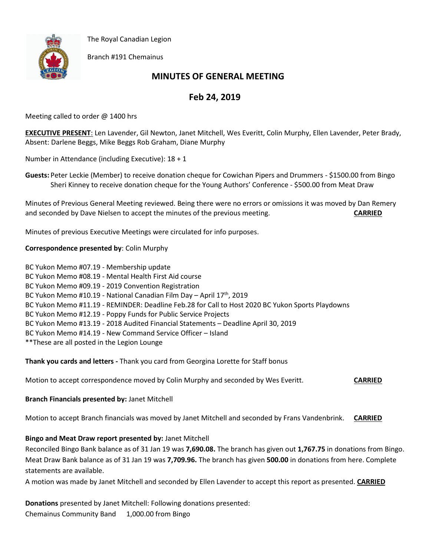The Royal Canadian Legion



Branch #191 Chemainus

# **MINUTES OF GENERAL MEETING**

## **Feb 24, 2019**

Meeting called to order @ 1400 hrs

**EXECUTIVE PRESENT**: Len Lavender, Gil Newton, Janet Mitchell, Wes Everitt, Colin Murphy, Ellen Lavender, Peter Brady, Absent: Darlene Beggs, Mike Beggs Rob Graham, Diane Murphy

Number in Attendance (including Executive): 18 + 1

**Guests:** Peter Leckie (Member) to receive donation cheque for Cowichan Pipers and Drummers - \$1500.00 from Bingo Sheri Kinney to receive donation cheque for the Young Authors' Conference - \$500.00 from Meat Draw

Minutes of Previous General Meeting reviewed. Being there were no errors or omissions it was moved by Dan Remery and seconded by Dave Nielsen to accept the minutes of the previous meeting. **CARRIED**

Minutes of previous Executive Meetings were circulated for info purposes.

#### **Correspondence presented by**: Colin Murphy

BC Yukon Memo #07.19 - Membership update BC Yukon Memo #08.19 - Mental Health First Aid course BC Yukon Memo #09.19 - 2019 Convention Registration BC Yukon Memo #10.19 - National Canadian Film Day - April 17<sup>th</sup>, 2019 BC Yukon Memo #11.19 - REMINDER: Deadline Feb.28 for Call to Host 2020 BC Yukon Sports Playdowns BC Yukon Memo #12.19 - Poppy Funds for Public Service Projects BC Yukon Memo #13.19 - 2018 Audited Financial Statements – Deadline April 30, 2019 BC Yukon Memo #14.19 - New Command Service Officer – Island \*\*These are all posted in the Legion Lounge

**Thank you cards and letters -** Thank you card from Georgina Lorette for Staff bonus

Motion to accept correspondence moved by Colin Murphy and seconded by Wes Everitt. **CARRIED**

## **Branch Financials presented by:** Janet Mitchell

Motion to accept Branch financials was moved by Janet Mitchell and seconded by Frans Vandenbrink. **CARRIED**

## **Bingo and Meat Draw report presented by:** Janet Mitchell

Reconciled Bingo Bank balance as of 31 Jan 19 was **7,690.08.** The branch has given out **1,767.75** in donations from Bingo. Meat Draw Bank balance as of 31 Jan 19 was **7,709.96.** The branch has given **500.00** in donations from here. Complete statements are available.

A motion was made by Janet Mitchell and seconded by Ellen Lavender to accept this report as presented. **CARRIED**

**Donations** presented by Janet Mitchell: Following donations presented: Chemainus Community Band 1,000.00 from Bingo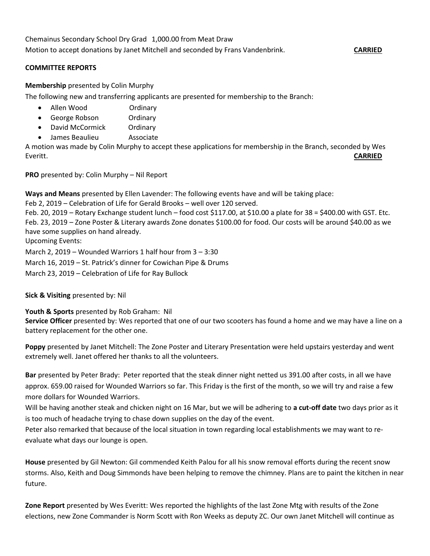Chemainus Secondary School Dry Grad 1,000.00 from Meat Draw Motion to accept donations by Janet Mitchell and seconded by Frans Vandenbrink. **CARRIED**

#### **COMMITTEE REPORTS**

#### **Membership** presented by Colin Murphy

The following new and transferring applicants are presented for membership to the Branch:

- Allen Wood Ordinary
- George Robson Ordinary
- David McCormick Ordinary
- James Beaulieu Associate

A motion was made by Colin Murphy to accept these applications for membership in the Branch, seconded by Wes Everitt. **CARRIED**

**PRO** presented by: Colin Murphy – Nil Report

**Ways and Means** presented by Ellen Lavender: The following events have and will be taking place:

Feb 2, 2019 – Celebration of Life for Gerald Brooks – well over 120 served.

Feb. 20, 2019 – Rotary Exchange student lunch – food cost \$117.00, at \$10.00 a plate for 38 = \$400.00 with GST. Etc. Feb. 23, 2019 – Zone Poster & Literary awards Zone donates \$100.00 for food. Our costs will be around \$40.00 as we have some supplies on hand already.

Upcoming Events:

March 2, 2019 – Wounded Warriors 1 half hour from 3 – 3:30

March 16, 2019 – St. Patrick's dinner for Cowichan Pipe & Drums

March 23, 2019 – Celebration of Life for Ray Bullock

#### **Sick & Visiting** presented by: Nil

**Youth & Sports** presented by Rob Graham: Nil **Service Officer** presented by: Wes reported that one of our two scooters has found a home and we may have a line on a battery replacement for the other one.

**Poppy** presented by Janet Mitchell: The Zone Poster and Literary Presentation were held upstairs yesterday and went extremely well. Janet offered her thanks to all the volunteers.

**Bar** presented by Peter Brady: Peter reported that the steak dinner night netted us 391.00 after costs, in all we have approx. 659.00 raised for Wounded Warriors so far. This Friday is the first of the month, so we will try and raise a few more dollars for Wounded Warriors.

Will be having another steak and chicken night on 16 Mar, but we will be adhering to **a cut-off date** two days prior as it is too much of headache trying to chase down supplies on the day of the event.

Peter also remarked that because of the local situation in town regarding local establishments we may want to reevaluate what days our lounge is open.

**House** presented by Gil Newton: Gil commended Keith Palou for all his snow removal efforts during the recent snow storms. Also, Keith and Doug Simmonds have been helping to remove the chimney. Plans are to paint the kitchen in near future.

**Zone Report** presented by Wes Everitt: Wes reported the highlights of the last Zone Mtg with results of the Zone elections, new Zone Commander is Norm Scott with Ron Weeks as deputy ZC. Our own Janet Mitchell will continue as